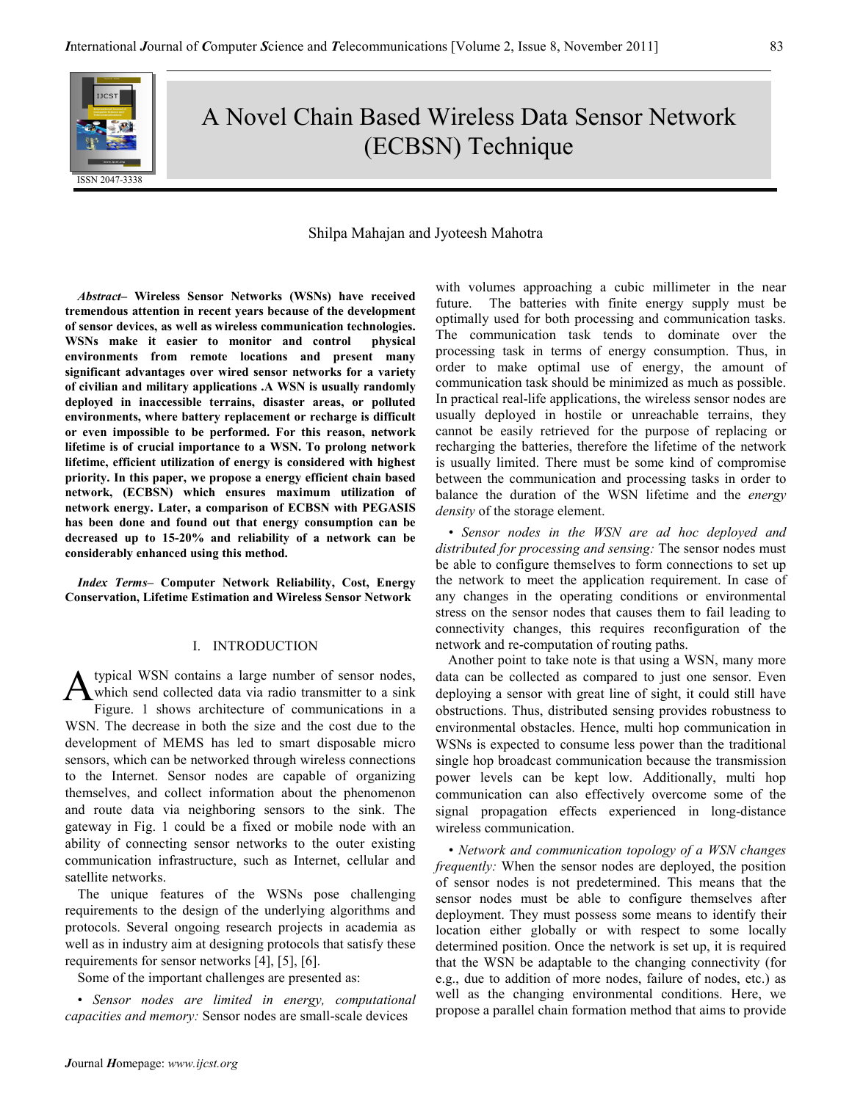

# A Novel Chain Based Wireless Data Sensor Network (ECBSN) Technique

# Shilpa Mahajan and Jyoteesh Mahotra

Abstract– Wireless Sensor Networks (WSNs) have received tremendous attention in recent years because of the development of sensor devices, as well as wireless communication technologies. WSNs make it easier to monitor and control physical environments from remote locations and present many significant advantages over wired sensor networks for a variety of civilian and military applications .A WSN is usually randomly deployed in inaccessible terrains, disaster areas, or polluted environments, where battery replacement or recharge is difficult or even impossible to be performed. For this reason, network lifetime is of crucial importance to a WSN. To prolong network lifetime, efficient utilization of energy is considered with highest priority. In this paper, we propose a energy efficient chain based network, (ECBSN) which ensures maximum utilization of network energy. Later, a comparison of ECBSN with PEGASIS has been done and found out that energy consumption can be decreased up to 15-20% and reliability of a network can be considerably enhanced using this method.

Index Terms– Computer Network Reliability, Cost, Energy Conservation, Lifetime Estimation and Wireless Sensor Network

## I. INTRODUCTION

typical WSN contains a large number of sensor nodes, which send collected data via radio transmitter to a sink Figure. 1 shows architecture of communications in a WSN. The decrease in both the size and the cost due to the development of MEMS has led to smart disposable micro sensors, which can be networked through wireless connections to the Internet. Sensor nodes are capable of organizing themselves, and collect information about the phenomenon and route data via neighboring sensors to the sink. The gateway in Fig. 1 could be a fixed or mobile node with an ability of connecting sensor networks to the outer existing communication infrastructure, such as Internet, cellular and satellite networks. A

The unique features of the WSNs pose challenging requirements to the design of the underlying algorithms and protocols. Several ongoing research projects in academia as well as in industry aim at designing protocols that satisfy these requirements for sensor networks [4], [5], [6].

Some of the important challenges are presented as:

• Sensor nodes are limited in energy, computational capacities and memory: Sensor nodes are small-scale devices

with volumes approaching a cubic millimeter in the near future. The batteries with finite energy supply must be optimally used for both processing and communication tasks. The communication task tends to dominate over the processing task in terms of energy consumption. Thus, in order to make optimal use of energy, the amount of communication task should be minimized as much as possible. In practical real-life applications, the wireless sensor nodes are usually deployed in hostile or unreachable terrains, they cannot be easily retrieved for the purpose of replacing or recharging the batteries, therefore the lifetime of the network is usually limited. There must be some kind of compromise between the communication and processing tasks in order to balance the duration of the WSN lifetime and the *energy* density of the storage element.

• Sensor nodes in the WSN are ad hoc deployed and distributed for processing and sensing: The sensor nodes must be able to configure themselves to form connections to set up the network to meet the application requirement. In case of any changes in the operating conditions or environmental stress on the sensor nodes that causes them to fail leading to connectivity changes, this requires reconfiguration of the network and re-computation of routing paths.

Another point to take note is that using a WSN, many more data can be collected as compared to just one sensor. Even deploying a sensor with great line of sight, it could still have obstructions. Thus, distributed sensing provides robustness to environmental obstacles. Hence, multi hop communication in WSNs is expected to consume less power than the traditional single hop broadcast communication because the transmission power levels can be kept low. Additionally, multi hop communication can also effectively overcome some of the signal propagation effects experienced in long-distance wireless communication.

• Network and communication topology of a WSN changes frequently: When the sensor nodes are deployed, the position of sensor nodes is not predetermined. This means that the sensor nodes must be able to configure themselves after deployment. They must possess some means to identify their location either globally or with respect to some locally determined position. Once the network is set up, it is required that the WSN be adaptable to the changing connectivity (for e.g., due to addition of more nodes, failure of nodes, etc.) as well as the changing environmental conditions. Here, we propose a parallel chain formation method that aims to provide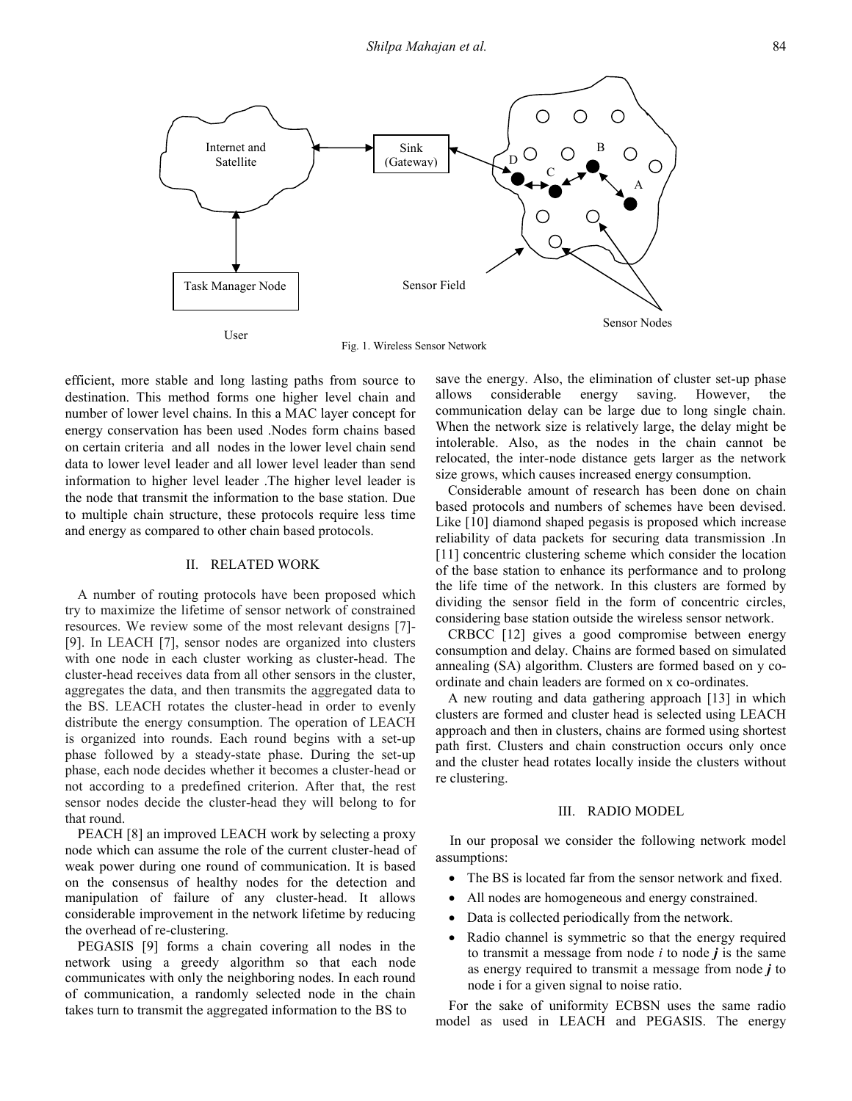

Fig. 1. Wireless Sensor Network

efficient, more stable and long lasting paths from source to destination. This method forms one higher level chain and number of lower level chains. In this a MAC layer concept for energy conservation has been used .Nodes form chains based on certain criteria and all nodes in the lower level chain send data to lower level leader and all lower level leader than send information to higher level leader .The higher level leader is the node that transmit the information to the base station. Due to multiple chain structure, these protocols require less time and energy as compared to other chain based protocols.

## II. RELATED WORK

A number of routing protocols have been proposed which try to maximize the lifetime of sensor network of constrained resources. We review some of the most relevant designs [7]- [9]. In LEACH [7], sensor nodes are organized into clusters with one node in each cluster working as cluster-head. The cluster-head receives data from all other sensors in the cluster, aggregates the data, and then transmits the aggregated data to the BS. LEACH rotates the cluster-head in order to evenly distribute the energy consumption. The operation of LEACH is organized into rounds. Each round begins with a set-up phase followed by a steady-state phase. During the set-up phase, each node decides whether it becomes a cluster-head or not according to a predefined criterion. After that, the rest sensor nodes decide the cluster-head they will belong to for that round.

PEACH [8] an improved LEACH work by selecting a proxy node which can assume the role of the current cluster-head of weak power during one round of communication. It is based on the consensus of healthy nodes for the detection and manipulation of failure of any cluster-head. It allows considerable improvement in the network lifetime by reducing the overhead of re-clustering.

PEGASIS [9] forms a chain covering all nodes in the network using a greedy algorithm so that each node communicates with only the neighboring nodes. In each round of communication, a randomly selected node in the chain takes turn to transmit the aggregated information to the BS to

save the energy. Also, the elimination of cluster set-up phase allows considerable energy saving. However, the communication delay can be large due to long single chain. When the network size is relatively large, the delay might be intolerable. Also, as the nodes in the chain cannot be relocated, the inter-node distance gets larger as the network size grows, which causes increased energy consumption.

Considerable amount of research has been done on chain based protocols and numbers of schemes have been devised. Like [10] diamond shaped pegasis is proposed which increase reliability of data packets for securing data transmission .In [11] concentric clustering scheme which consider the location of the base station to enhance its performance and to prolong the life time of the network. In this clusters are formed by dividing the sensor field in the form of concentric circles, considering base station outside the wireless sensor network.

CRBCC [12] gives a good compromise between energy consumption and delay. Chains are formed based on simulated annealing (SA) algorithm. Clusters are formed based on y coordinate and chain leaders are formed on x co-ordinates.

A new routing and data gathering approach [13] in which clusters are formed and cluster head is selected using LEACH approach and then in clusters, chains are formed using shortest path first. Clusters and chain construction occurs only once and the cluster head rotates locally inside the clusters without re clustering.

## III. RADIO MODEL

In our proposal we consider the following network model assumptions:

- The BS is located far from the sensor network and fixed.
- All nodes are homogeneous and energy constrained.
- Data is collected periodically from the network.
- Radio channel is symmetric so that the energy required to transmit a message from node  $i$  to node  $j$  is the same as energy required to transmit a message from node  $j$  to node i for a given signal to noise ratio.

For the sake of uniformity ECBSN uses the same radio model as used in LEACH and PEGASIS. The energy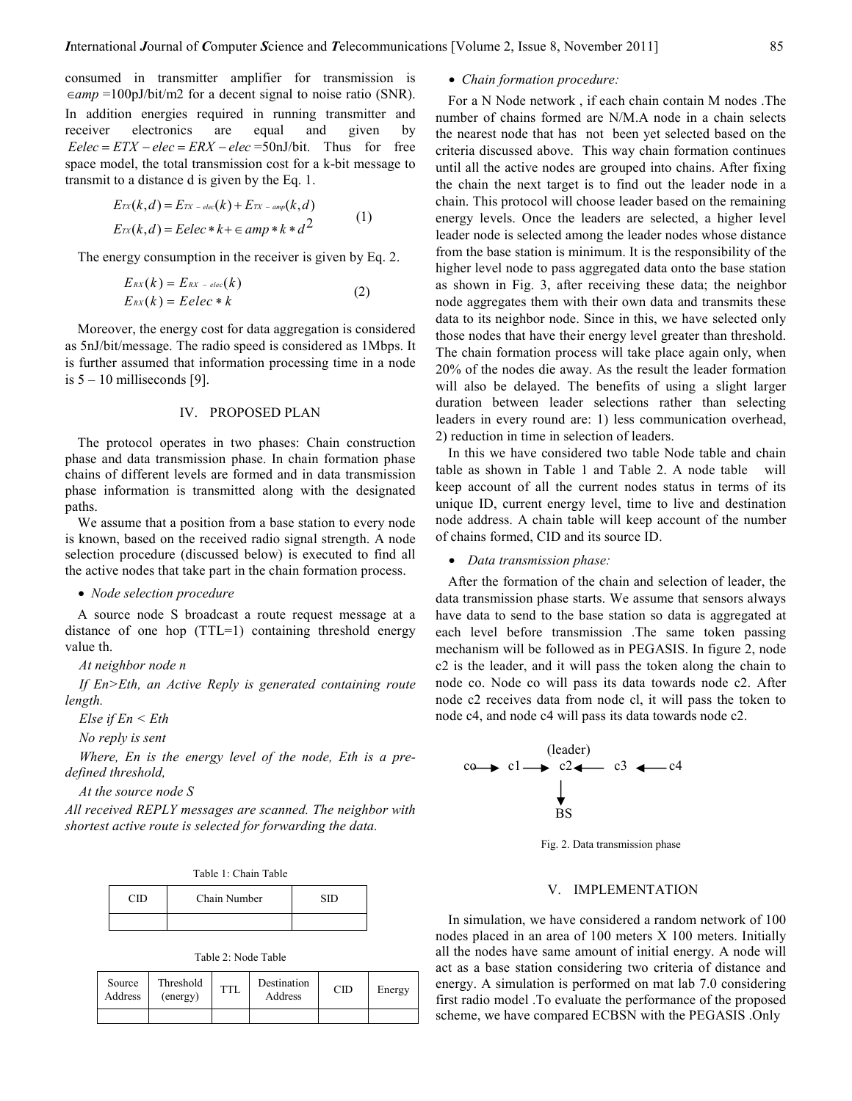consumed in transmitter amplifier for transmission is  $\epsilon$ *eamp* =100pJ/bit/m2 for a decent signal to noise ratio (SNR). In addition energies required in running transmitter and receiver electronics are equal and given by  $Eelec = ETX - elec = ERX - elec = 50nJ/bit.$  Thus for free space model, the total transmission cost for a k-bit message to transmit to a distance d is given by the Eq. 1.

$$
E_{TX}(k,d) = E_{TX - elec}(k) + E_{TX - amp}(k,d)
$$
  
\n
$$
E_{TX}(k,d) = Eelec*k + \epsilon \,amp; \text{amp} * k * d^2
$$
 (1)

The energy consumption in the receiver is given by Eq. 2.

$$
E_{RX}(k) = E_{RX - elec}(k)
$$
  
\n
$$
E_{RX}(k) = Eelec * k
$$
 (2)

Moreover, the energy cost for data aggregation is considered as 5nJ/bit/message. The radio speed is considered as 1Mbps. It is further assumed that information processing time in a node is  $5 - 10$  milliseconds [9].

# IV. PROPOSED PLAN

The protocol operates in two phases: Chain construction phase and data transmission phase. In chain formation phase chains of different levels are formed and in data transmission phase information is transmitted along with the designated paths.

We assume that a position from a base station to every node is known, based on the received radio signal strength. A node selection procedure (discussed below) is executed to find all the active nodes that take part in the chain formation process.

#### • Node selection procedure

A source node S broadcast a route request message at a distance of one hop (TTL=1) containing threshold energy value th.

#### At neighbor node n

If En>Eth, an Active Reply is generated containing route length.

Else if  $En$  < Eth

```
No reply is sent
```
Where, En is the energy level of the node, Eth is a predefined threshold,

At the source node S

All received REPLY messages are scanned. The neighbor with shortest active route is selected for forwarding the data.

|  |  |  | Table 1: Chain Table |  |
|--|--|--|----------------------|--|
|--|--|--|----------------------|--|

| Chain Number |  |  |
|--------------|--|--|
|              |  |  |

Table 2: Node Table

| Source<br>Address | Threshold<br>(energy) | <b>TTL</b> | Destination<br>Address | СID | Energy |
|-------------------|-----------------------|------------|------------------------|-----|--------|
|                   |                       |            |                        |     |        |

### • Chain formation procedure:

For a N Node network , if each chain contain M nodes .The number of chains formed are N/M.A node in a chain selects the nearest node that has not been yet selected based on the criteria discussed above. This way chain formation continues until all the active nodes are grouped into chains. After fixing the chain the next target is to find out the leader node in a chain. This protocol will choose leader based on the remaining energy levels. Once the leaders are selected, a higher level leader node is selected among the leader nodes whose distance from the base station is minimum. It is the responsibility of the higher level node to pass aggregated data onto the base station as shown in Fig. 3, after receiving these data; the neighbor node aggregates them with their own data and transmits these data to its neighbor node. Since in this, we have selected only those nodes that have their energy level greater than threshold. The chain formation process will take place again only, when 20% of the nodes die away. As the result the leader formation will also be delayed. The benefits of using a slight larger duration between leader selections rather than selecting leaders in every round are: 1) less communication overhead, 2) reduction in time in selection of leaders.

In this we have considered two table Node table and chain table as shown in Table 1 and Table 2. A node table will keep account of all the current nodes status in terms of its unique ID, current energy level, time to live and destination node address. A chain table will keep account of the number of chains formed, CID and its source ID.

• Data transmission phase:

After the formation of the chain and selection of leader, the data transmission phase starts. We assume that sensors always have data to send to the base station so data is aggregated at each level before transmission .The same token passing mechanism will be followed as in PEGASIS. In figure 2, node c2 is the leader, and it will pass the token along the chain to node co. Node co will pass its data towards node c2. After node c2 receives data from node cl, it will pass the token to node c4, and node c4 will pass its data towards node c2.



Fig. 2. Data transmission phase

#### V. IMPLEMENTATION

In simulation, we have considered a random network of 100 nodes placed in an area of 100 meters X 100 meters. Initially all the nodes have same amount of initial energy. A node will act as a base station considering two criteria of distance and energy. A simulation is performed on mat lab 7.0 considering first radio model .To evaluate the performance of the proposed scheme, we have compared ECBSN with the PEGASIS .Only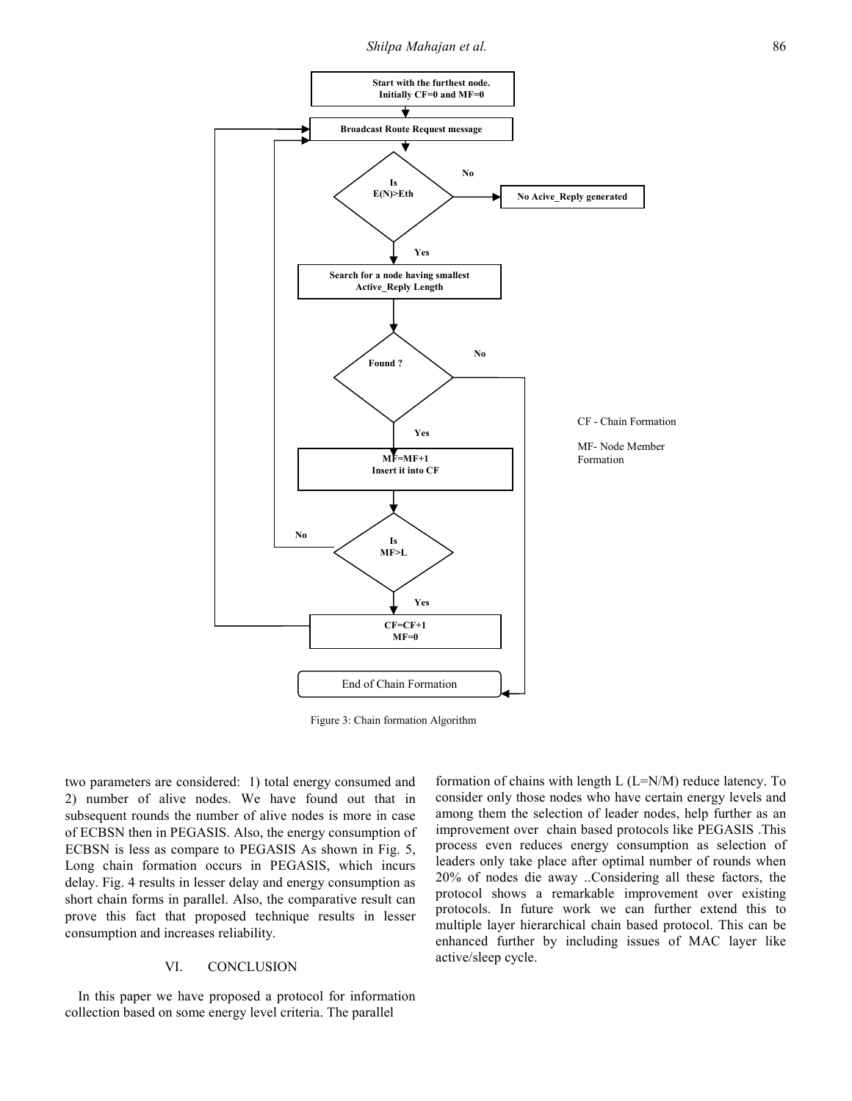Shilpa Mahajan et al. 2008 2014 12:30 12:30 12:30 12:30 12:30 12:30 12:30 12:30 12:30 12:30 12:30 12:30 12:30 1



Figure 3: Chain formation Algorithm

two parameters are considered: 1) total energy consumed and 2) number of alive nodes. We have found out that in subsequent rounds the number of alive nodes is more in case of ECBSN then in PEGASIS. Also, the energy consumption of ECBSN is less as compare to PEGASIS As shown in Fig. 5, Long chain formation occurs in PEGASIS, which incurs delay. Fig. 4 results in lesser delay and energy consumption as short chain forms in parallel. Also, the comparative result can prove this fact that proposed technique results in lesser consumption and increases reliability.

# VI. CONCLUSION

In this paper we have proposed a protocol for information collection based on some energy level criteria. The parallel

formation of chains with length L (L=N/M) reduce latency. To consider only those nodes who have certain energy levels and among them the selection of leader nodes, help further as an improvement over chain based protocols like PEGASIS .This process even reduces energy consumption as selection of leaders only take place after optimal number of rounds when 20% of nodes die away ..Considering all these factors, the protocol shows a remarkable improvement over existing protocols. In future work we can further extend this to multiple layer hierarchical chain based protocol. This can be enhanced further by including issues of MAC layer like active/sleep cycle.